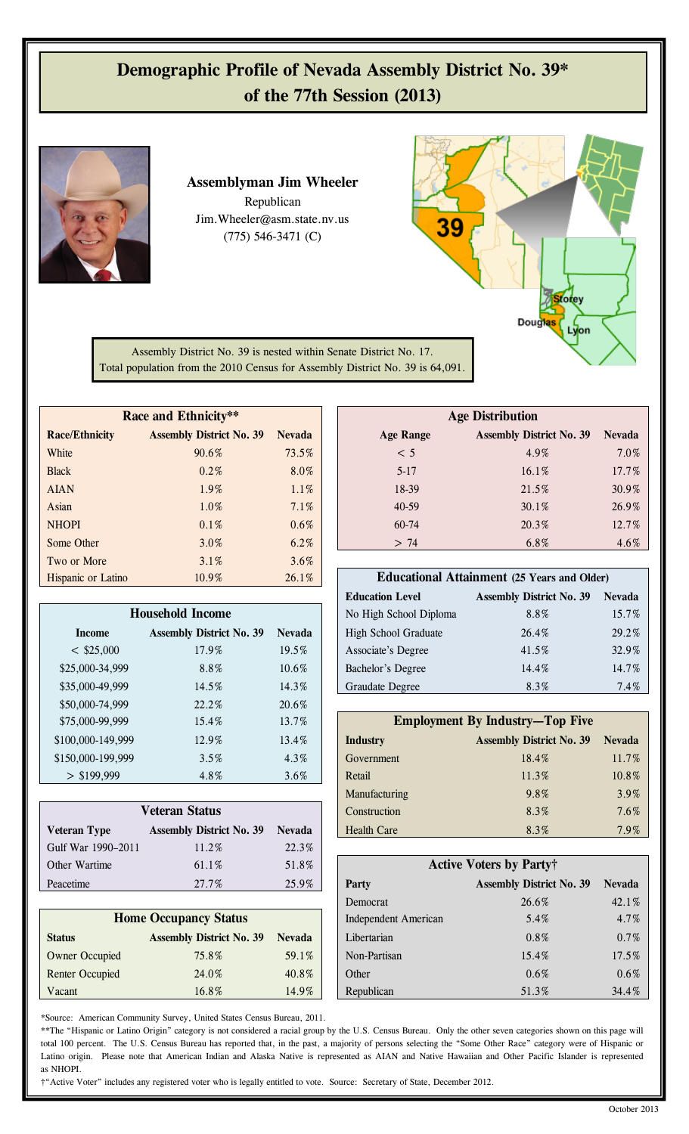## **Demographic Profile of Nevada Assembly District No. 39\* of the 77th Session (2013)**



**Assemblyman Jim Wheeler**  Republican Jim.Wheeler@asm.state.nv.us (775) 546-3471 (C)



Assembly District No. 39 is nested within Senate District No. 17. Total population from the 2010 Census for Assembly District No. 39 is 64,091.

| Race and Ethnicity**  |                                 |               | <b>Age Distribution</b> |                                                    |               |
|-----------------------|---------------------------------|---------------|-------------------------|----------------------------------------------------|---------------|
| <b>Race/Ethnicity</b> | <b>Assembly District No. 39</b> | <b>Nevada</b> | <b>Age Range</b>        | <b>Assembly District No. 39</b>                    | <b>Nevada</b> |
| White                 | 90.6%                           | 73.5%         | < 5                     | 4.9%                                               | 7.0%          |
| <b>Black</b>          | $0.2\%$                         | 8.0%          | $5-17$                  | $16.1\%$                                           | 17.7%         |
| <b>AIAN</b>           | 1.9%                            | 1.1%          | 18-39                   | 21.5%                                              | 30.9%         |
| Asian                 | 1.0%                            | 7.1%          | $40 - 59$               | $30.1\%$                                           | 26.9%         |
| <b>NHOPI</b>          | 0.1%                            | $0.6\%$       | $60 - 74$               | 20.3%                                              | 12.7%         |
| Some Other            | 3.0%                            | 6.2%          | > 74                    | 6.8%                                               | 4.6%          |
| Two or More           | $3.1\%$                         | 3.6%          |                         |                                                    |               |
| Hispanic or Latino    | 10.9%                           | 26.1%         |                         | <b>Educational Attainment (25 Years and Older)</b> |               |

| <b>Household Income</b> |                                 |               |  |  |  |  |  |  |
|-------------------------|---------------------------------|---------------|--|--|--|--|--|--|
| <b>Income</b>           | <b>Assembly District No. 39</b> | <b>Nevada</b> |  |  |  |  |  |  |
| $<$ \$25,000            | 17.9%                           | 19.5%         |  |  |  |  |  |  |
| \$25,000-34,999         | 8.8%                            | 10.6%         |  |  |  |  |  |  |
| \$35,000-49,999         | 14.5%                           | 14.3%         |  |  |  |  |  |  |
| \$50,000-74,999         | 22.2%                           | 20.6%         |  |  |  |  |  |  |
| \$75,000-99,999         | 15.4%                           | 13.7%         |  |  |  |  |  |  |
| \$100,000-149,999       | 12.9%                           | 13.4%         |  |  |  |  |  |  |
| \$150,000-199,999       | 3.5%                            | 4.3%          |  |  |  |  |  |  |
| \$199,999               | 4.8%                            | 3.6%          |  |  |  |  |  |  |

| <b>Veteran Status</b> |                                 |               | Construction       | 8.3%                            | $7.6\%$       |
|-----------------------|---------------------------------|---------------|--------------------|---------------------------------|---------------|
| <b>Veteran Type</b>   | <b>Assembly District No. 39</b> | <b>Nevada</b> | <b>Health Care</b> | 8.3%                            | 7.9%          |
| Gulf War 1990-2011    | 11.2%                           | 22.3%         |                    |                                 |               |
| Other Wartime         | $61.1\%$                        | 51.8%         |                    | <b>Active Voters by Party†</b>  |               |
| Peacetime             | 27.7%                           | 25.9%         | Party              | <b>Assembly District No. 39</b> | <b>Nevada</b> |

| <b>Home Occupancy Status</b> |                                 |               |  |  |  |  |  |  |
|------------------------------|---------------------------------|---------------|--|--|--|--|--|--|
| <b>Status</b>                | <b>Assembly District No. 39</b> | <b>Nevada</b> |  |  |  |  |  |  |
| <b>Owner Occupied</b>        | 75.8%                           | 59.1%         |  |  |  |  |  |  |
| <b>Renter Occupied</b>       | 24.0%                           | 40.8%         |  |  |  |  |  |  |
| Vacant                       | 16.8%                           | $14.9\%$      |  |  |  |  |  |  |

\*Source: American Community Survey, United States Census Bureau, 2011.

**Race/Ethnicity Assembly District No. 39 Nevada Age Range Assembly District No. 39 Nevada** White  $90.6\%$  73.5%  $\sim$  75.5%  $\sim$  5 4.9% 7.0% 7.0% Black  $0.2\%$  8.0% 5-17 16.1% 17.7% 17.7% AIAN  $1.9\%$   $1.1\%$   $1.1\%$   $1.1\%$   $1.8-39$   $21.5\%$   $30.9\%$ Asian 1.0% 1.0% 7.1% 40-59 30.1% 26.9% **Age Distribution**

|                   |                                 | .             |                                                    |                                 |               |
|-------------------|---------------------------------|---------------|----------------------------------------------------|---------------------------------|---------------|
| ispanic or Latino | $10.9\%$                        | 26.1%         | <b>Educational Attainment (25 Years and Older)</b> |                                 |               |
|                   |                                 |               | <b>Education Level</b>                             | <b>Assembly District No. 39</b> | <b>Nevada</b> |
|                   | <b>Household Income</b>         |               | No High School Diploma                             | 8.8%                            | 15.7%         |
| Income            | <b>Assembly District No. 39</b> | <b>Nevada</b> | <b>High School Graduate</b>                        | 26.4%                           | 29.2%         |
| $<$ \$25,000      | 17.9%                           | 19.5%         | Associate's Degree                                 | 41.5%                           | 32.9%         |
| \$25,000-34,999   | 8.8%                            | 10.6%         | Bachelor's Degree                                  | 14.4%                           | 14.7%         |
| \$35,000-49,999   | 14.5%                           | 14.3%         | Graudate Degree                                    | 8.3%                            | 7.4%          |

| \$75,000-99,999   | 15.4%                           | 13.7%         |                    | <b>Employment By Industry—Top Five</b> |               |
|-------------------|---------------------------------|---------------|--------------------|----------------------------------------|---------------|
| \$100,000-149,999 | 12.9%                           | 13.4%         | <b>Industry</b>    | <b>Assembly District No. 39</b>        | <b>Nevada</b> |
| \$150,000-199,999 | 3.5%                            | $4.3\%$       | Government         | 18.4%                                  | 11.7%         |
| $>$ \$199,999     | 4.8%                            | $3.6\%$       | Retail             | 11.3%                                  | 10.8%         |
|                   |                                 |               | Manufacturing      | 9.8%                                   | 3.9%          |
|                   | Veteran Status                  |               | Construction       | 8.3%                                   | $7.6\%$       |
| ∕eteran Tvpe      | <b>Assembly District No. 39</b> | <b>Nevada</b> | <b>Health Care</b> | 8.3%                                   | 7.9%          |

| <u>UUII WAI 1990-2011</u>    | 11.270                          | $22.5\%$      |  |                             |                                 |               |
|------------------------------|---------------------------------|---------------|--|-----------------------------|---------------------------------|---------------|
| Other Wartime                | 61.1%                           | 51.8%         |  |                             | <b>Active Voters by Party†</b>  |               |
| Peacetime                    | 27.7%                           | 25.9%         |  | Party                       | <b>Assembly District No. 39</b> | <b>Nevada</b> |
|                              |                                 |               |  | Democrat                    | 26.6%                           | 42.1%         |
| <b>Home Occupancy Status</b> |                                 |               |  | <b>Independent American</b> | 5.4%                            | 4.7%          |
| <b>Status</b>                | <b>Assembly District No. 39</b> | <b>Nevada</b> |  | Libertarian                 | $0.8\%$                         | $0.7\%$       |
| <b>Owner Occupied</b>        | 75.8%                           | 59.1%         |  | Non-Partisan                | 15.4%                           | 17.5%         |
| <b>Renter Occupied</b>       | 24.0%                           | 40.8%         |  | Other                       | $0.6\%$                         | $0.6\%$       |
| Vacant                       | 16.8%                           | 14.9%         |  | Republican                  | 51.3%                           | 34.4%         |

\*\*The "Hispanic or Latino Origin" category is not considered a racial group by the U.S. Census Bureau. Only the other seven categories shown on this page will total 100 percent. The U.S. Census Bureau has reported that, in the past, a majority of persons selecting the "Some Other Race" category were of Hispanic or Latino origin. Please note that American Indian and Alaska Native is represented as AIAN and Native Hawaiian and Other Pacific Islander is represented as NHOPI.

†"Active Voter" includes any registered voter who is legally entitled to vote. Source: Secretary of State, December 2012.